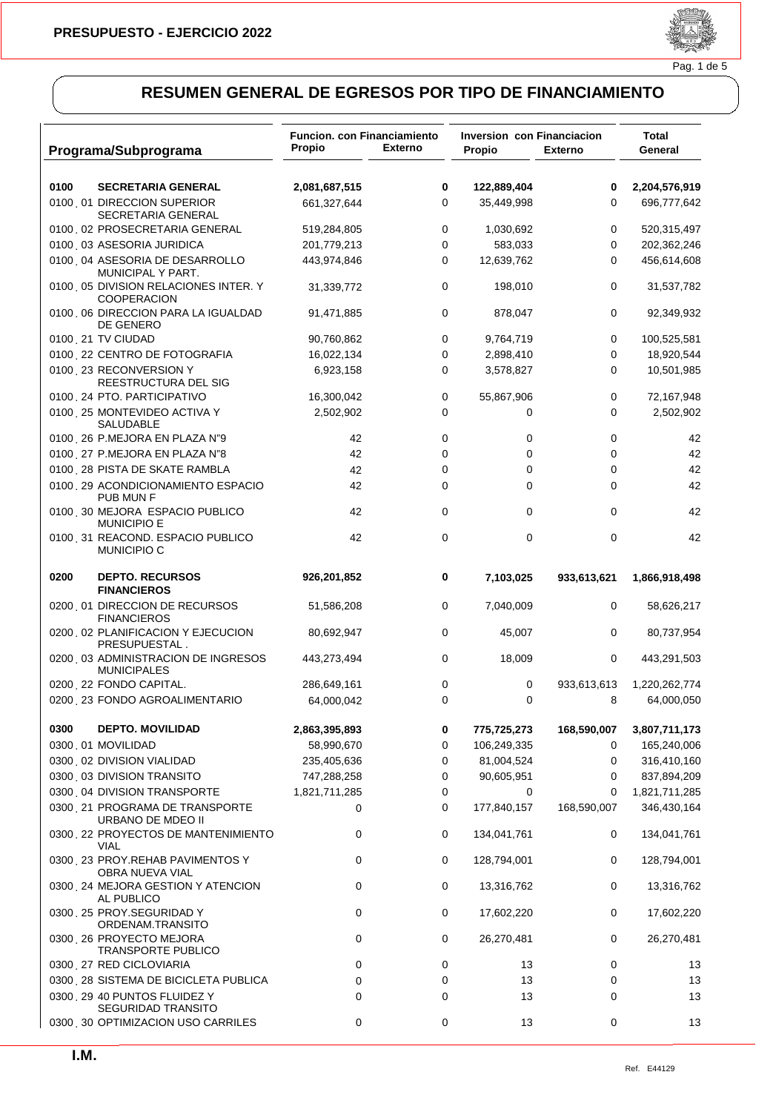

### Pag. 1 de 5

| Programa/Subprograma                                       | <b>Funcion. con Financiamiento</b><br>Propio | <b>Externo</b> | <b>Inversion con Financiacion</b><br>Propio | <b>Externo</b> | Total<br>General |
|------------------------------------------------------------|----------------------------------------------|----------------|---------------------------------------------|----------------|------------------|
|                                                            |                                              |                |                                             |                |                  |
| 0100<br><b>SECRETARIA GENERAL</b>                          | 2,081,687,515                                | 0              | 122,889,404                                 | 0              | 2,204,576,919    |
| 0100 01 DIRECCION SUPERIOR<br>SECRETARIA GENERAL           | 661,327,644                                  | 0              | 35,449,998                                  | 0              | 696,777,642      |
| 0100 02 PROSECRETARIA GENERAL                              | 519,284,805                                  | 0              | 1,030,692                                   | 0              | 520,315,497      |
| 0100 03 ASESORIA JURIDICA                                  | 201,779,213                                  | 0              | 583,033                                     | 0              | 202,362,246      |
| 0100 04 ASESORIA DE DESARROLLO<br>MUNICIPAL Y PART.        | 443,974,846                                  | 0              | 12,639,762                                  | 0              | 456,614,608      |
| 0100 05 DIVISION RELACIONES INTER. Y<br><b>COOPERACION</b> | 31,339,772                                   | 0              | 198,010                                     | 0              | 31,537,782       |
| 0100 06 DIRECCION PARA LA IGUALDAD<br>DE GENERO            | 91,471,885                                   | 0              | 878,047                                     | 0              | 92,349,932       |
| 0100 21 TV CIUDAD                                          | 90,760,862                                   | 0              | 9,764,719                                   | 0              | 100,525,581      |
| 0100 22 CENTRO DE FOTOGRAFIA                               | 16,022,134                                   | 0              | 2,898,410                                   | 0              | 18,920,544       |
| 0100 23 RECONVERSION Y<br>REESTRUCTURA DEL SIG             | 6,923,158                                    | 0              | 3,578,827                                   | 0              | 10,501,985       |
| 0100 24 PTO. PARTICIPATIVO                                 | 16,300,042                                   | 0              | 55,867,906                                  | 0              | 72,167,948       |
| 0100 25 MONTEVIDEO ACTIVA Y<br>SALUDABLE                   | 2,502,902                                    | 0              | 0                                           | 0              | 2,502,902        |
| 0100 26 P.MEJORA EN PLAZA N"9                              | 42                                           | 0              | 0                                           | 0              | 42               |
| 0100 27 P.MEJORA EN PLAZA N"8                              | 42                                           | 0              | 0                                           | 0              | 42               |
| 0100, 28 PISTA DE SKATE RAMBLA                             | 42                                           | 0              | 0                                           | 0              | 42               |
| 0100 29 ACONDICIONAMIENTO ESPACIO<br>PUB MUN F             | 42                                           | 0              | $\Omega$                                    | 0              | 42               |
| 0100 30 MEJORA ESPACIO PUBLICO<br><b>MUNICIPIO E</b>       | 42                                           | 0              | 0                                           | 0              | 42               |
| 0100 31 REACOND. ESPACIO PUBLICO<br>MUNICIPIO C            | 42                                           | 0              | 0                                           | $\mathbf 0$    | 42               |
| 0200<br><b>DEPTO. RECURSOS</b><br><b>FINANCIEROS</b>       | 926,201,852                                  | 0              | 7,103,025                                   | 933,613,621    | 1,866,918,498    |
| 0200 01 DIRECCION DE RECURSOS<br><b>FINANCIEROS</b>        | 51,586,208                                   | 0              | 7,040,009                                   | 0              | 58,626,217       |
| 0200 02 PLANIFICACION Y EJECUCION<br>PRESUPUESTAL.         | 80,692,947                                   | 0              | 45,007                                      | 0              | 80,737,954       |
| 0200 03 ADMINISTRACION DE INGRESOS<br><b>MUNICIPALES</b>   | 443,273,494                                  | 0              | 18,009                                      | 0              | 443,291,503      |
| 0200 22 FONDO CAPITAL.                                     | 286,649,161                                  | 0              | 0                                           | 933,613,613    | 1,220,262,774    |
| 0200 23 FONDO AGROALIMENTARIO                              | 64,000,042                                   | 0              | 0                                           | 8              | 64,000,050       |
| 0300<br><b>DEPTO. MOVILIDAD</b>                            | 2,863,395,893                                | 0              | 775,725,273                                 | 168,590,007    | 3,807,711,173    |
| 0300 01 MOVILIDAD                                          | 58,990,670                                   | 0              | 106,249,335                                 | 0              | 165,240,006      |
| 0300 02 DIVISION VIALIDAD                                  | 235,405,636                                  | 0              | 81,004,524                                  | 0              | 316,410,160      |
| 0300 03 DIVISION TRANSITO                                  | 747,288,258                                  | 0              | 90,605,951                                  | 0              | 837,894,209      |
| 0300 04 DIVISION TRANSPORTE                                | 1,821,711,285                                | 0              | 0                                           | 0              | 1,821,711,285    |
| 0300 21 PROGRAMA DE TRANSPORTE<br>URBANO DE MDEO II        | 0                                            | 0              | 177,840,157                                 | 168,590,007    | 346,430,164      |
| 0300 22 PROYECTOS DE MANTENIMIENTO<br>VIAL                 | 0                                            | 0              | 134,041,761                                 | 0              | 134,041,761      |
| 0300 23 PROY.REHAB PAVIMENTOS Y<br>OBRA NUEVA VIAL         | 0                                            | 0              | 128,794,001                                 | 0              | 128,794,001      |
| 0300 24 MEJORA GESTION Y ATENCION<br>AL PUBLICO            | 0                                            | 0              | 13,316,762                                  | 0              | 13,316,762       |
| 0300 25 PROY.SEGURIDAD Y<br>ORDENAM.TRANSITO               | 0                                            | 0              | 17,602,220                                  | 0              | 17,602,220       |
| 0300 26 PROYECTO MEJORA<br><b>TRANSPORTE PUBLICO</b>       | 0                                            | 0              | 26,270,481                                  | 0              | 26,270,481       |
| 0300 27 RED CICLOVIARIA                                    | 0                                            | 0              | 13                                          | 0              | 13               |
| 0300 28 SISTEMA DE BICICLETA PUBLICA                       | 0                                            | 0              | 13                                          | 0              | 13               |
| 0300 29 40 PUNTOS FLUIDEZ Y<br><b>SEGURIDAD TRANSITO</b>   | 0                                            | 0              | 13                                          | 0              | 13               |
| 0300 30 OPTIMIZACION USO CARRILES                          | 0                                            | 0              | 13                                          | 0              | 13               |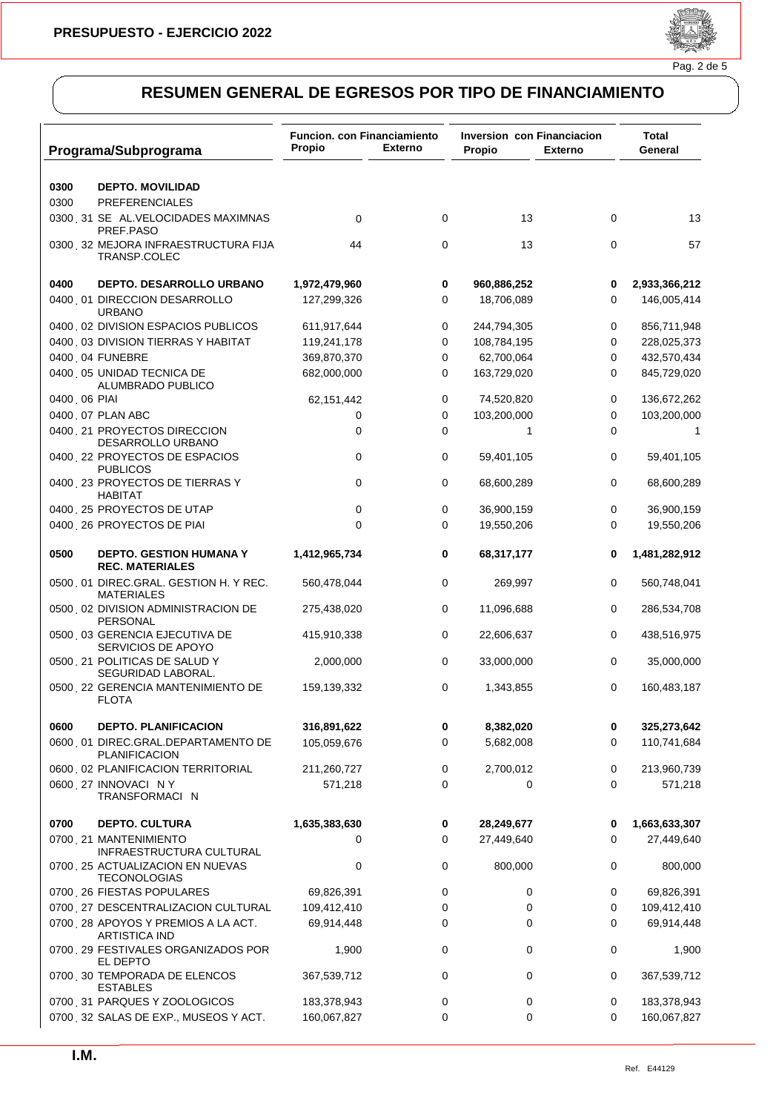

| Programa/Subprograma                                             | <b>Funcion, con Financiamiento</b><br>Propio | <b>Externo</b> | <b>Inversion con Financiacion</b><br>Propio | <b>Externo</b> | Total<br>General |
|------------------------------------------------------------------|----------------------------------------------|----------------|---------------------------------------------|----------------|------------------|
| 0300<br><b>DEPTO. MOVILIDAD</b>                                  |                                              |                |                                             |                |                  |
| 0300<br><b>PREFERENCIALES</b>                                    |                                              |                |                                             |                |                  |
| 0300 31 SEÑAL.VELOCIDADES MAXIMNAS<br>PREF.PASO                  | 0                                            | 0              | 13                                          | 0              | 13               |
| 0300 32 MEJORA INFRAESTRUCTURA FIJA<br>TRANSP.COLEC              | 44                                           | 0              | 13                                          | 0              | 57               |
| 0400<br><b>DEPTO, DESARROLLO URBANO</b>                          | 1,972,479,960                                | 0              | 960,886,252                                 | 0              | 2,933,366,212    |
| 0400 01 DIRECCION DESARROLLO<br><b>URBANO</b>                    | 127,299,326                                  | 0              | 18,706,089                                  | 0              | 146,005,414      |
| 0400 02 DIVISION ESPACIOS PUBLICOS                               | 611,917,644                                  | 0              | 244,794,305                                 | 0              | 856,711,948      |
| 0400 03 DIVISION TIERRAS Y HABITAT                               | 119,241,178                                  | 0              | 108,784,195                                 | 0              | 228,025,373      |
| 0400, 04 FUNEBRE                                                 | 369,870,370                                  | 0              | 62,700,064                                  | 0              | 432,570,434      |
| 0400 05 UNIDAD TECNICA DE<br>ALUMBRADO PUBLICO                   | 682,000,000                                  | 0              | 163,729,020                                 | 0              | 845,729,020      |
| 0400 06 PIAI                                                     | 62,151,442                                   | 0              | 74,520,820                                  | 0              | 136,672,262      |
| 0400 07 PLAN ABC                                                 | 0                                            | 0              | 103,200,000                                 | 0              | 103,200,000      |
| 0400 21 PROYECTOS DIRECCION<br>DESARROLLO URBANO                 | 0                                            | 0              | 1                                           | 0              | 1                |
| 0400 22 PROYECTOS DE ESPACIOS<br><b>PUBLICOS</b>                 | 0                                            | 0              | 59,401,105                                  | 0              | 59,401,105       |
| 0400 23 PROYECTOS DE TIERRAS Y<br><b>HABITAT</b>                 | 0                                            | 0              | 68,600,289                                  | 0              | 68,600,289       |
| 0400 25 PROYECTOS DE UTAP                                        | 0                                            | 0              | 36,900,159                                  | 0              | 36,900,159       |
| 0400 26 PROYECTOS DE PIAI                                        | 0                                            | $\Omega$       | 19,550,206                                  | 0              | 19,550,206       |
| 0500<br><b>DEPTO. GESTION HUMANA Y</b><br><b>REC. MATERIALES</b> | 1,412,965,734                                | 0              | 68,317,177                                  | 0              | 1,481,282,912    |
| 0500 01 DIREC.GRAL. GESTION H. Y REC.<br><b>MATERIALES</b>       | 560,478,044                                  | 0              | 269,997                                     | 0              | 560,748,041      |
| 0500 02 DIVISION ADMINISTRACION DE<br>PERSONAL                   | 275,438,020                                  | 0              | 11,096,688                                  | 0              | 286,534,708      |
| 0500 03 GERENCIA EJECUTIVA DE<br>SERVICIOS DE APOYO              | 415,910,338                                  | 0              | 22,606,637                                  | 0              | 438,516,975      |
| 0500 21 POLITICAS DE SALUD Y<br>SEGURIDAD LABORAL.               | 2,000,000                                    | 0              | 33,000,000                                  | 0              | 35,000,000       |
| 0500 22 GERENCIA MANTENIMIENTO DE<br><b>FLOTA</b>                | 159,139,332                                  | 0              | 1,343,855                                   | 0              | 160,483,187      |
| 0600<br><b>DEPTO. PLANIFICACION</b>                              | 316,891,622                                  | 0              | 8,382,020                                   | 0              | 325,273,642      |
| 0600 01 DIREC.GRAL.DEPARTAMENTO DE<br><b>PLANIFICACION</b>       | 105,059,676                                  | 0              | 5,682,008                                   | 0              | 110,741,684      |
| 0600 02 PLANIFICACION TERRITORIAL                                | 211,260,727                                  | 0              | 2,700,012                                   | 0              | 213,960,739      |
| 0600 27 INNOVACIÓN Y<br><b>TRANSFORMACIÓN</b>                    | 571,218                                      | 0              | 0                                           | 0              | 571,218          |
| 0700<br><b>DEPTO. CULTURA</b>                                    | 1,635,383,630                                | 0              | 28,249,677                                  | 0              | 1,663,633,307    |
| 0700 21 MANTENIMIENTO<br>INFRAESTRUCTURA CULTURAL                | 0                                            | 0              | 27,449,640                                  | 0              | 27,449,640       |
| 0700 25 ACTUALIZACION EN NUEVAS<br><b>TECONOLOGIAS</b>           | 0                                            | 0              | 800,000                                     | 0              | 800,000          |
| 0700 26 FIESTAS POPULARES                                        | 69,826,391                                   | 0              | 0                                           | 0              | 69,826,391       |
| 0700 27 DESCENTRALIZACION CULTURAL                               | 109,412,410                                  | 0              | 0                                           | 0              | 109,412,410      |
| 0700 28 APOYOS Y PREMIOS A LA ACT.<br><b>ARTISTICA IND</b>       | 69,914,448                                   | 0              | 0                                           | 0              | 69,914,448       |
| 0700 29 FESTIVALES ORGANIZADOS POR<br>EL DEPTO                   | 1,900                                        | 0              | 0                                           | 0              | 1,900            |
| 0700 30 TEMPORADA DE ELENCOS<br><b>ESTABLES</b>                  | 367,539,712                                  | 0              | 0                                           | 0              | 367,539,712      |
| 0700 31 PARQUES Y ZOOLOGICOS                                     | 183,378,943                                  | 0              | 0                                           | 0              | 183,378,943      |
| 0700 32 SALAS DE EXP., MUSEOS Y ACT.                             | 160,067,827                                  | 0              | 0                                           | 0              | 160,067,827      |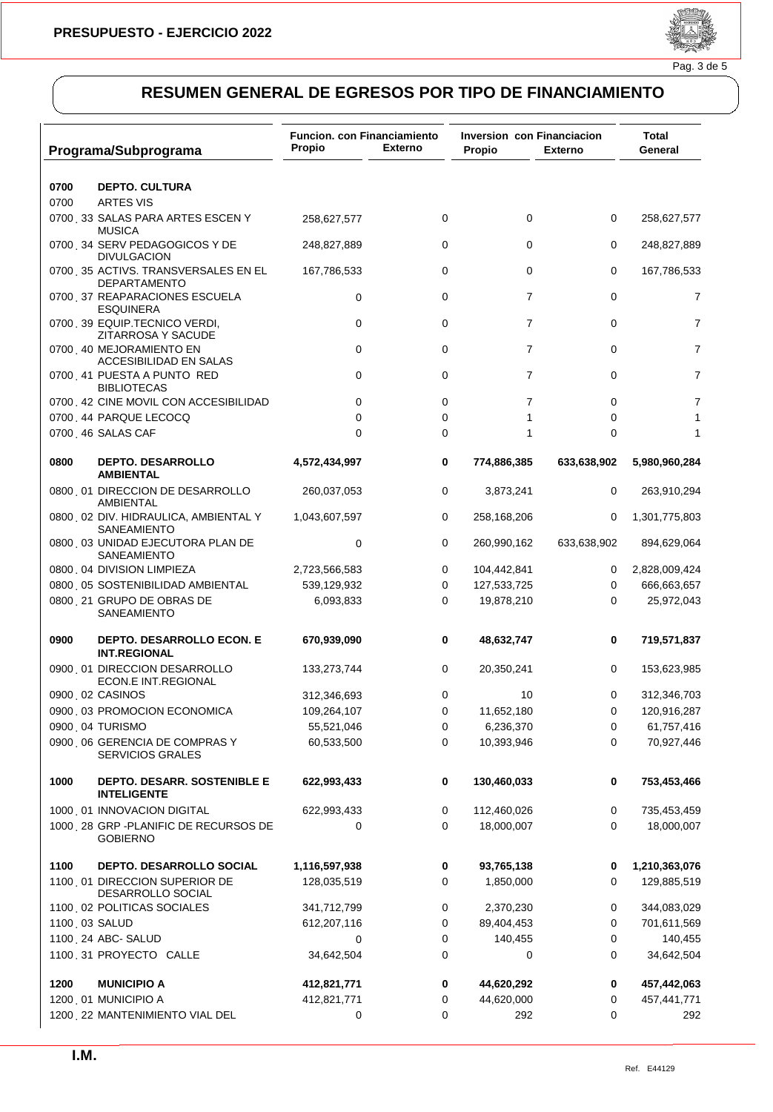

|                   | Programa/Subprograma                                       | <b>Funcion. con Financiamiento</b><br>Propio | <b>Externo</b> | <b>Inversion con Financiacion</b><br>Propio | <b>Externo</b> | Total<br>General |
|-------------------|------------------------------------------------------------|----------------------------------------------|----------------|---------------------------------------------|----------------|------------------|
|                   |                                                            |                                              |                |                                             |                |                  |
| 0700              | <b>DEPTO. CULTURA</b>                                      |                                              |                |                                             |                |                  |
| 0700              | <b>ARTES VIS</b>                                           |                                              |                |                                             |                |                  |
|                   | 0700 33 SALAS PARA ARTES ESCEN Y<br><b>MUSICA</b>          | 258,627,577                                  | 0              | 0                                           | 0              | 258,627,577      |
|                   | 0700 34 SERV PEDAGOGICOS Y DE<br><b>DIVULGACION</b>        | 248,827,889                                  | 0              | $\Omega$                                    | 0              | 248,827,889      |
|                   | 0700 35 ACTIVS. TRANSVERSALES EN EL<br><b>DEPARTAMENTO</b> | 167,786,533                                  | 0              | 0                                           | 0              | 167,786,533      |
|                   | 0700 37 REAPARACIONES ESCUELA<br><b>ESQUINERA</b>          | 0                                            | 0              | $\overline{7}$                              | 0              | $\overline{7}$   |
|                   | 0700 39 EQUIP.TECNICO VERDI,<br>ZITARROSA Y SACUDE         | 0                                            | 0              | 7                                           | 0              | $\overline{7}$   |
|                   | 0700 40 MEJORAMIENTO EN<br>ACCESIBILIDAD EN SALAS          | 0                                            | 0              | $\overline{7}$                              | 0              | 7                |
|                   | 0700 41 PUESTA A PUNTO RED<br><b>BIBLIOTECAS</b>           | 0                                            | 0              | $\overline{7}$                              | 0              | 7                |
|                   | 0700 42 CINE MOVIL CON ACCESIBILIDAD                       | 0                                            | 0              | 7                                           | 0              | 7                |
|                   | 0700 44 PARQUE LECOCQ                                      | $\mathbf 0$                                  | 0              | 1                                           | 0              | 1                |
| 0700 46 SALAS CAF |                                                            | $\mathbf 0$                                  | 0              | 1                                           | 0              | 1                |
| 0800              | <b>DEPTO. DESARROLLO</b><br><b>AMBIENTAL</b>               | 4,572,434,997                                | 0              | 774,886,385                                 | 633,638,902    | 5,980,960,284    |
|                   | 0800 01 DIRECCION DE DESARROLLO<br><b>AMBIENTAL</b>        | 260,037,053                                  | 0              | 3,873,241                                   | 0              | 263,910,294      |
|                   | 0800 02 DIV. HIDRAULICA, AMBIENTAL Y<br>SANEAMIENTO        | 1,043,607,597                                | 0              | 258,168,206                                 | 0              | 1,301,775,803    |
|                   | 0800 03 UNIDAD EJECUTORA PLAN DE<br>SANEAMIENTO            | $\mathbf 0$                                  | 0              | 260,990,162                                 | 633,638,902    | 894,629,064      |
|                   | 0800 04 DIVISION LIMPIEZA                                  | 2,723,566,583                                | 0              | 104,442,841                                 | 0              | 2,828,009,424    |
|                   | 0800 05 SOSTENIBILIDAD AMBIENTAL                           | 539,129,932                                  | 0              | 127,533,725                                 | 0              | 666,663,657      |
|                   | 0800 21 GRUPO DE OBRAS DE<br>SANEAMIENTO                   | 6,093,833                                    | 0              | 19,878,210                                  | 0              | 25,972,043       |
| 0900              | DEPTO. DESARROLLO ECON. E<br><b>INT.REGIONAL</b>           | 670,939,090                                  | 0              | 48,632,747                                  | 0              | 719,571,837      |
|                   | 0900 01 DIRECCION DESARROLLO<br>ECON.E INT.REGIONAL        | 133,273,744                                  | 0              | 20,350,241                                  | 0              | 153,623,985      |
| 0900 02 CASINOS   |                                                            | 312,346,693                                  | 0              | 10                                          | 0              | 312,346,703      |
|                   | 0900 03 PROMOCION ECONOMICA                                | 109,264,107                                  | 0              | 11,652,180                                  | 0              | 120,916,287      |
| 0900 04 TURISMO   |                                                            | 55,521,046                                   | 0              | 6,236,370                                   | 0              | 61,757,416       |
|                   | 0900 06 GERENCIA DE COMPRAS Y<br><b>SERVICIOS GRALES</b>   | 60,533,500                                   | 0              | 10,393,946                                  | 0              | 70,927,446       |
| 1000              | DEPTO. DESARR. SOSTENIBLE E<br><b>INTELIGENTE</b>          | 622,993,433                                  | 0              | 130,460,033                                 | 0              | 753,453,466      |
|                   | 1000 01 INNOVACION DIGITAL                                 | 622,993,433                                  | 0              | 112,460,026                                 | 0              | 735,453,459      |
|                   | 1000 28 GRP - PLANIFIC DE RECURSOS DE<br><b>GOBIERNO</b>   | 0                                            | 0              | 18,000,007                                  | 0              | 18,000,007       |
| 1100              | DEPTO. DESARROLLO SOCIAL                                   | 1,116,597,938                                | 0              | 93,765,138                                  | 0              | 1,210,363,076    |
|                   | 1100, 01 DIRECCION SUPERIOR DE<br>DESARROLLO SOCIAL        | 128,035,519                                  | 0              | 1,850,000                                   | 0              | 129,885,519      |
|                   | 1100 02 POLITICAS SOCIALES                                 | 341,712,799                                  | 0              | 2,370,230                                   | 0              | 344,083,029      |
| 1100, 03 SALUD    |                                                            | 612,207,116                                  | 0              | 89,404,453                                  | 0              | 701,611,569      |
|                   | 1100 24 ABC- SALUD                                         | 0                                            | 0              | 140,455                                     | 0              | 140,455          |
|                   | 1100 31 PROYECTO CALLE                                     | 34,642,504                                   | 0              | 0                                           | 0              | 34,642,504       |
| 1200              | <b>MUNICIPIO A</b>                                         | 412,821,771                                  | 0              | 44,620,292                                  | 0              | 457,442,063      |
|                   | 1200 01 MUNICIPIO A                                        | 412,821,771                                  | 0              | 44,620,000                                  | 0              | 457,441,771      |
|                   | 1200 22 MANTENIMIENTO VIAL DEL                             | 0                                            | 0              | 292                                         | 0              | 292              |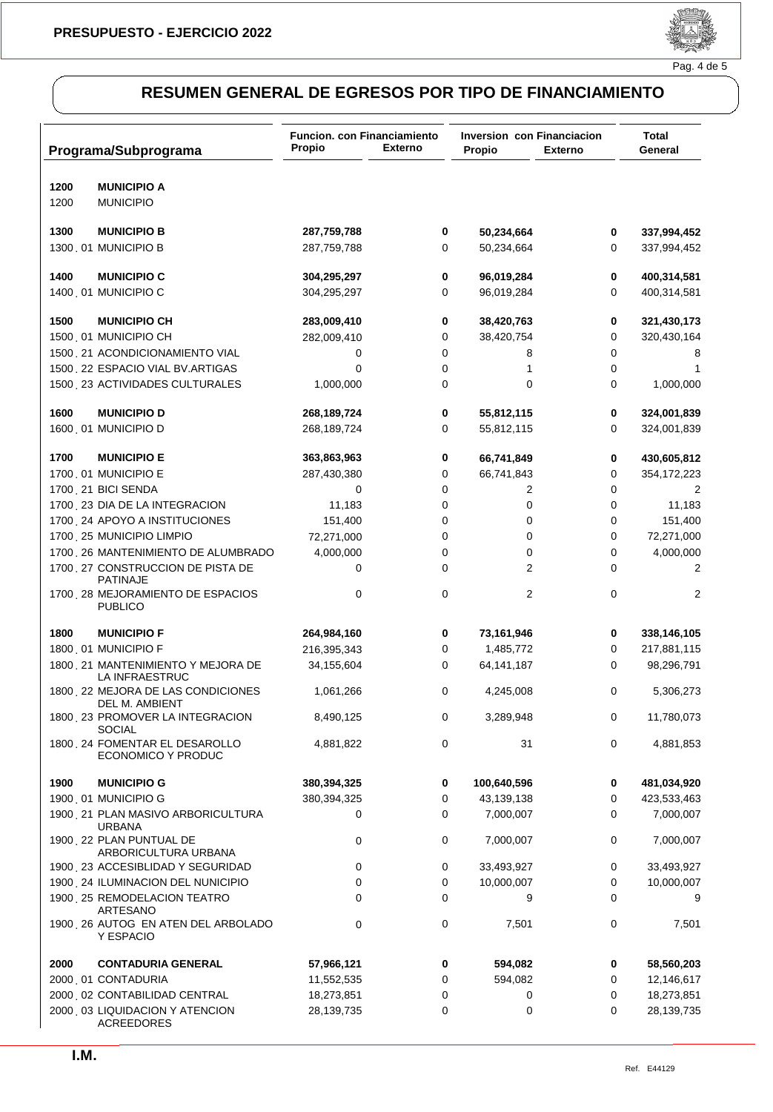

### Pag. 4 de 5

|      | Programa/Subprograma                                | Funcion. con Financiamiento<br>Propio | <b>Externo</b> | Inversion con Financiacion<br>Propio | <b>Externo</b> | <b>Total</b><br>General |
|------|-----------------------------------------------------|---------------------------------------|----------------|--------------------------------------|----------------|-------------------------|
| 1200 | <b>MUNICIPIO A</b>                                  |                                       |                |                                      |                |                         |
| 1200 | <b>MUNICIPIO</b>                                    |                                       |                |                                      |                |                         |
| 1300 | <b>MUNICIPIO B</b>                                  | 287,759,788                           | 0              | 50,234,664                           | 0              | 337,994,452             |
|      | 1300 01 MUNICIPIO B                                 | 287,759,788                           | 0              | 50,234,664                           | 0              | 337,994,452             |
|      |                                                     |                                       |                |                                      |                |                         |
| 1400 | <b>MUNICIPIO C</b>                                  | 304,295,297                           | 0              | 96,019,284                           | 0              | 400,314,581             |
|      | 1400 01 MUNICIPIO C                                 | 304,295,297                           | 0              | 96,019,284                           | 0              | 400,314,581             |
| 1500 | <b>MUNICIPIO CH</b>                                 | 283,009,410                           | 0              | 38,420,763                           | 0              | 321,430,173             |
|      | 1500 01 MUNICIPIO CH                                | 282,009,410                           | 0              | 38,420,754                           | 0              | 320,430,164             |
|      | 1500 21 ACONDICIONAMIENTO VIAL                      | 0                                     | $\mathbf 0$    | 8                                    | 0              | 8                       |
|      | 1500 22 ESPACIO VIAL BV.ARTIGAS                     | 0                                     | 0              | 1                                    | 0              | 1                       |
|      | 1500 23 ACTIVIDADES CULTURALES                      | 1,000,000                             | 0              | 0                                    | 0              | 1,000,000               |
| 1600 | <b>MUNICIPIO D</b>                                  | 268,189,724                           | 0              | 55,812,115                           | 0              | 324,001,839             |
|      | 1600 01 MUNICIPIO D                                 | 268,189,724                           | 0              | 55,812,115                           | 0              | 324,001,839             |
|      |                                                     |                                       |                |                                      |                |                         |
| 1700 | <b>MUNICIPIO E</b>                                  | 363,863,963                           | 0              | 66,741,849                           | 0              | 430,605,812             |
|      | 1700 01 MUNICIPIO E                                 | 287,430,380                           | 0              | 66,741,843                           | 0              | 354,172,223             |
|      | 1700 21 BICI SENDA                                  | 0                                     | 0              | 2                                    | 0              | 2                       |
|      | 1700 23 DIA DE LA INTEGRACION                       | 11,183                                | 0              | 0                                    | 0              | 11,183                  |
|      | 1700 24 APOYO A INSTITUCIONES                       | 151,400                               | 0              | 0                                    | 0              | 151,400                 |
|      | 1700 25 MUNICIPIO LIMPIO                            | 72,271,000                            | 0              | 0                                    | 0              | 72,271,000              |
|      | 1700 26 MANTENIMIENTO DE ALUMBRADO                  | 4,000,000                             | 0              | 0                                    | 0              | 4,000,000               |
|      | 1700 27 CONSTRUCCION DE PISTA DE<br><b>PATINAJE</b> | 0                                     | 0              | 2                                    | 0              | 2                       |
|      | 1700 28 MEJORAMIENTO DE ESPACIOS<br><b>PUBLICO</b>  | 0                                     | 0              | 2                                    | 0              | 2                       |
| 1800 | <b>MUNICIPIO F</b>                                  | 264,984,160                           | 0              | 73,161,946                           | 0              | 338,146,105             |
|      | 1800 01 MUNICIPIO F                                 | 216,395,343                           | 0              | 1,485,772                            | 0              | 217,881,115             |
|      | 1800 21 MANTENIMIENTO Y MEJORA DE<br>LA INFRAESTRUC | 34,155,604                            | 0              | 64,141,187                           | 0              | 98,296,791              |
|      | 1800 22 MEJORA DE LAS CONDICIONES<br>DEL M. AMBIENT | 1,061,266                             | 0              | 4,245,008                            | 0              | 5,306,273               |
|      | 1800 23 PROMOVER LA INTEGRACION<br><b>SOCIAL</b>    | 8,490,125                             | 0              | 3,289,948                            | 0              | 11,780,073              |
|      | 1800 24 FOMENTAR EL DESAROLLO<br>ECONOMICO Y PRODUC | 4,881,822                             | 0              | 31                                   | 0              | 4,881,853               |
| 1900 | <b>MUNICIPIO G</b>                                  | 380,394,325                           | 0              | 100,640,596                          | 0              | 481,034,920             |
|      | 1900 01 MUNICIPIO G                                 | 380,394,325                           | $\pmb{0}$      | 43,139,138                           | 0              | 423,533,463             |
|      | 1900 21 PLAN MASIVO ARBORICULTURA<br><b>URBANA</b>  | 0                                     | 0              | 7,000,007                            | 0              | 7,000,007               |
|      | 1900 22 PLAN PUNTUAL DE<br>ARBORICULTURA URBANA     | $\mathbf 0$                           | 0              | 7,000,007                            | 0              | 7,000,007               |
|      | 1900, 23 ACCESIBLIDAD Y SEGURIDAD                   | 0                                     | 0              | 33,493,927                           | 0              | 33,493,927              |
|      | 1900 24 ILUMINACION DEL NUNICIPIO                   | 0                                     | 0              | 10,000,007                           | 0              | 10,000,007              |
|      | 1900 25 REMODELACION TEATRO<br>ARTESANO             | 0                                     | 0              | 9                                    | 0              | 9                       |
|      | 1900 26 AUTOG EN ATEN DEL ARBOLADO<br>Y ESPACIO     | 0                                     | $\mathbf 0$    | 7,501                                | 0              | 7,501                   |
| 2000 | <b>CONTADURIA GENERAL</b>                           | 57,966,121                            | 0              | 594,082                              | 0              | 58,560,203              |
|      | 2000 01 CONTADURIA                                  | 11,552,535                            | 0              | 594,082                              | 0              | 12,146,617              |
|      | 2000 02 CONTABILIDAD CENTRAL                        | 18,273,851                            | 0              | 0                                    | 0              | 18,273,851              |
|      | 2000 03 LIQUIDACION Y ATENCION<br><b>ACREEDORES</b> | 28,139,735                            | 0              | 0                                    | 0              | 28,139,735              |